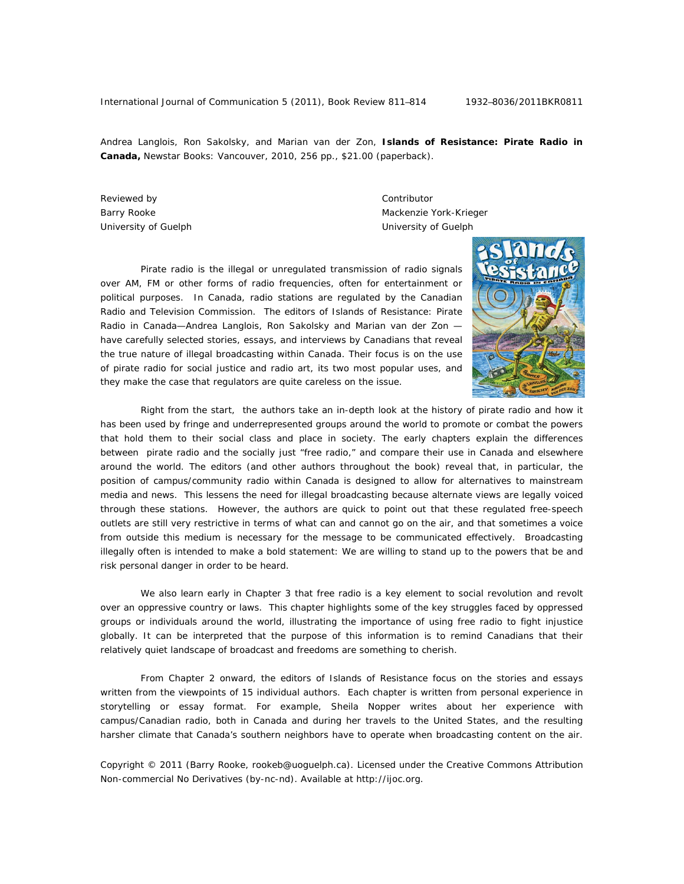Andrea Langlois, Ron Sakolsky, and Marian van der Zon, **Islands of Resistance: Pirate Radio in Canada,** Newstar Books: Vancouver, 2010, 256 pp., \$21.00 (paperback).

Reviewed by **Contributor Contributor** 

Barry Rooke **Mackenzie York-Krieger** Mackenzie York-Krieger University of Guelph University of Guelph

 Pirate radio is the illegal or unregulated transmission of radio signals over AM, FM or other forms of radio frequencies, often for entertainment or political purposes. In Canada, radio stations are regulated by the Canadian Radio and Television Commission. The editors of *Islands of Resistance: Pirate Radio in Canada*—Andrea Langlois, Ron Sakolsky and Marian van der Zon have carefully selected stories, essays, and interviews by Canadians that reveal the true nature of illegal broadcasting within Canada. Their focus is on the use of pirate radio for social justice and radio art, its two most popular uses, and they make the case that regulators are quite careless on the issue.



 Right from the start, the authors take an in-depth look at the history of pirate radio and how it has been used by fringe and underrepresented groups around the world to promote or combat the powers that hold them to their social class and place in society. The early chapters explain the differences between pirate radio and the socially just "free radio," and compare their use in Canada and elsewhere around the world. The editors (and other authors throughout the book) reveal that, in particular, the position of campus/community radio within Canada is designed to allow for alternatives to mainstream media and news. This lessens the need for illegal broadcasting because alternate views are legally voiced through these stations. However, the authors are quick to point out that these regulated free-speech outlets are still very restrictive in terms of what can and cannot go on the air, and that sometimes a voice from outside this medium is necessary for the message to be communicated effectively. Broadcasting illegally often is intended to make a bold statement: We are willing to stand up to the powers that be and risk personal danger in order to be heard.

 We also learn early in Chapter 3 that free radio is a key element to social revolution and revolt over an oppressive country or laws. This chapter highlights some of the key struggles faced by oppressed groups or individuals around the world, illustrating the importance of using free radio to fight injustice globally. It can be interpreted that the purpose of this information is to remind Canadians that their relatively quiet landscape of broadcast and freedoms are something to cherish.

 From Chapter 2 onward, the editors of *Islands of Resistance* focus on the stories and essays written from the viewpoints of 15 individual authors. Each chapter is written from personal experience in storytelling or essay format. For example, Sheila Nopper writes about her experience with campus/Canadian radio, both in Canada and during her travels to the United States, and the resulting harsher climate that Canada's southern neighbors have to operate when broadcasting content on the air.

Copyright © 2011 (Barry Rooke, rookeb@uoguelph.ca). Licensed under the Creative Commons Attribution Non-commercial No Derivatives (by-nc-nd). Available at http://ijoc.org.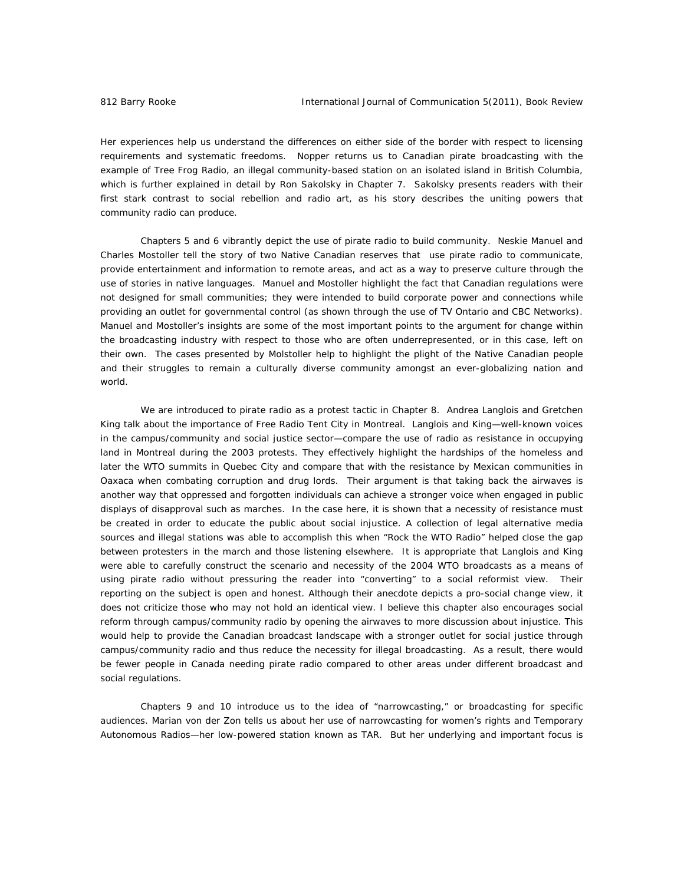Her experiences help us understand the differences on either side of the border with respect to licensing requirements and systematic freedoms. Nopper returns us to Canadian pirate broadcasting with the example of Tree Frog Radio, an illegal community-based station on an isolated island in British Columbia, which is further explained in detail by Ron Sakolsky in Chapter 7. Sakolsky presents readers with their first stark contrast to social rebellion and radio art, as his story describes the uniting powers that community radio can produce.

 Chapters 5 and 6 vibrantly depict the use of pirate radio to build community. Neskie Manuel and Charles Mostoller tell the story of two Native Canadian reserves that use pirate radio to communicate, provide entertainment and information to remote areas, and act as a way to preserve culture through the use of stories in native languages. Manuel and Mostoller highlight the fact that Canadian regulations were not designed for small communities; they were intended to build corporate power and connections while providing an outlet for governmental control (as shown through the use of TV Ontario and CBC Networks). Manuel and Mostoller's insights are some of the most important points to the argument for change within the broadcasting industry with respect to those who are often underrepresented, or in this case, left on their own. The cases presented by Molstoller help to highlight the plight of the Native Canadian people and their struggles to remain a culturally diverse community amongst an ever-globalizing nation and world.

We are introduced to pirate radio as a protest tactic in Chapter 8. Andrea Langlois and Gretchen King talk about the importance of Free Radio Tent City in Montreal. Langlois and King—well-known voices in the campus/community and social justice sector—compare the use of radio as resistance in occupying land in Montreal during the 2003 protests. They effectively highlight the hardships of the homeless and later the WTO summits in Quebec City and compare that with the resistance by Mexican communities in Oaxaca when combating corruption and drug lords. Their argument is that taking back the airwaves is another way that oppressed and forgotten individuals can achieve a stronger voice when engaged in public displays of disapproval such as marches. In the case here, it is shown that a necessity of resistance must be created in order to educate the public about social injustice. A collection of legal alternative media sources and illegal stations was able to accomplish this when "Rock the WTO Radio" helped close the gap between protesters in the march and those listening elsewhere. It is appropriate that Langlois and King were able to carefully construct the scenario and necessity of the 2004 WTO broadcasts as a means of using pirate radio without pressuring the reader into "converting" to a social reformist view. Their reporting on the subject is open and honest. Although their anecdote depicts a pro-social change view, it does not criticize those who may not hold an identical view. I believe this chapter also encourages social reform through campus/community radio by opening the airwaves to more discussion about injustice. This would help to provide the Canadian broadcast landscape with a stronger outlet for social justice through campus/community radio and thus reduce the necessity for illegal broadcasting. As a result, there would be fewer people in Canada needing pirate radio compared to other areas under different broadcast and social regulations.

Chapters 9 and 10 introduce us to the idea of "narrowcasting," or broadcasting for specific audiences. Marian von der Zon tells us about her use of narrowcasting for women's rights and Temporary Autonomous Radios—her low-powered station known as TAR. But her underlying and important focus is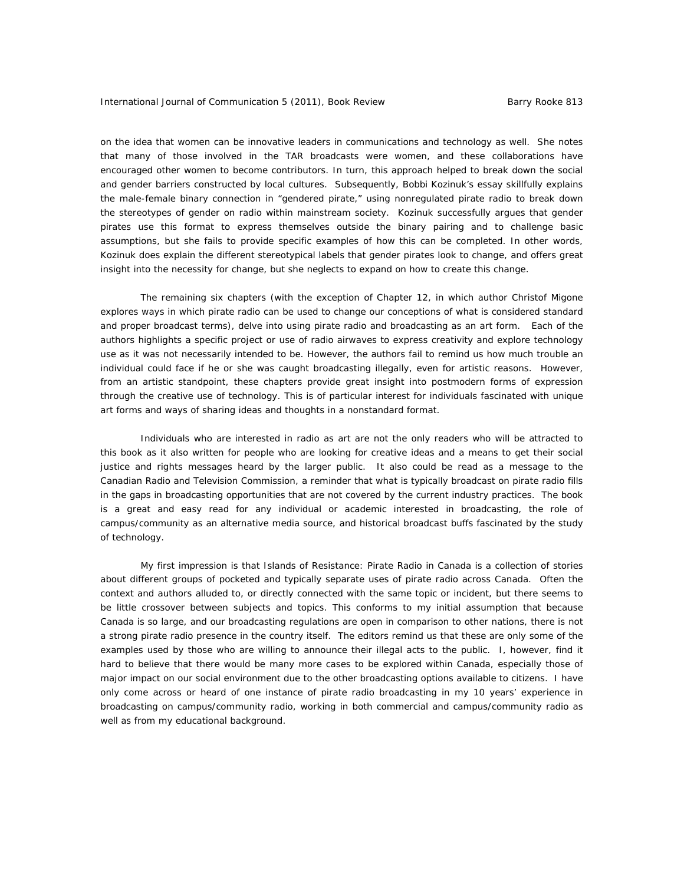on the idea that women can be innovative leaders in communications and technology as well. She notes that many of those involved in the TAR broadcasts were women, and these collaborations have encouraged other women to become contributors. In turn, this approach helped to break down the social and gender barriers constructed by local cultures. Subsequently, Bobbi Kozinuk's essay skillfully explains the male-female binary connection in "gendered pirate," using nonregulated pirate radio to break down the stereotypes of gender on radio within mainstream society. Kozinuk successfully argues that gender pirates use this format to express themselves outside the binary pairing and to challenge basic assumptions, but she fails to provide specific examples of how this can be completed. In other words, Kozinuk does explain the different stereotypical labels that gender pirates look to change, and offers great insight into the necessity for change, but she neglects to expand on how to create this change.

The remaining six chapters (with the exception of Chapter 12, in which author Christof Migone explores ways in which pirate radio can be used to change our conceptions of what is considered standard and proper broadcast terms), delve into using pirate radio and broadcasting as an art form. Each of the authors highlights a specific project or use of radio airwaves to express creativity and explore technology use as it was not necessarily intended to be. However, the authors fail to remind us how much trouble an individual could face if he or she was caught broadcasting illegally, even for artistic reasons. However, from an artistic standpoint, these chapters provide great insight into postmodern forms of expression through the creative use of technology. This is of particular interest for individuals fascinated with unique art forms and ways of sharing ideas and thoughts in a nonstandard format.

 Individuals who are interested in radio as art are not the only readers who will be attracted to this book as it also written for people who are looking for creative ideas and a means to get their social justice and rights messages heard by the larger public. It also could be read as a message to the Canadian Radio and Television Commission, a reminder that what is typically broadcast on pirate radio fills in the gaps in broadcasting opportunities that are not covered by the current industry practices. The book is a great and easy read for any individual or academic interested in broadcasting, the role of campus/community as an alternative media source, and historical broadcast buffs fascinated by the study of technology.

My first impression is that *Islands of Resistance: Pirate Radio in Canada* is a collection of stories about different groups of pocketed and typically separate uses of pirate radio across Canada. Often the context and authors alluded to, or directly connected with the same topic or incident, but there seems to be little crossover between subjects and topics. This conforms to my initial assumption that because Canada is so large, and our broadcasting regulations are open in comparison to other nations, there is not a strong pirate radio presence in the country itself. The editors remind us that these are only some of the examples used by those who are willing to announce their illegal acts to the public. I, however, find it hard to believe that there would be many more cases to be explored within Canada, especially those of major impact on our social environment due to the other broadcasting options available to citizens. I have only come across or heard of one instance of pirate radio broadcasting in my 10 years' experience in broadcasting on campus/community radio, working in both commercial and campus/community radio as well as from my educational background.